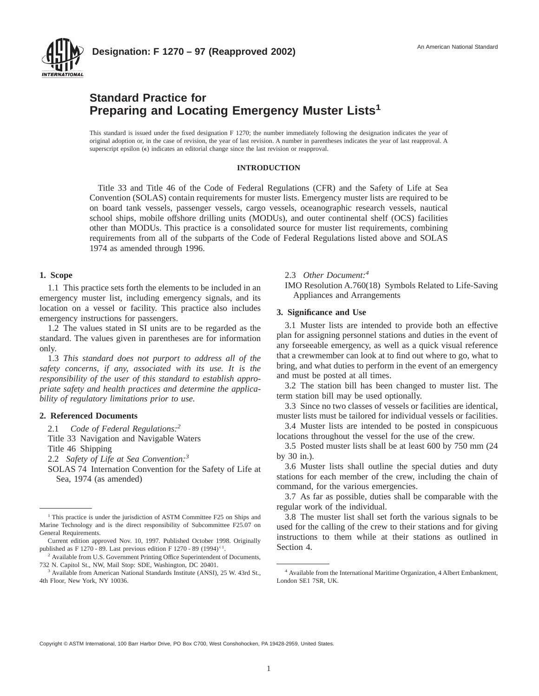

# **Standard Practice for Preparing and Locating Emergency Muster Lists<sup>1</sup>**

This standard is issued under the fixed designation F 1270; the number immediately following the designation indicates the year of original adoption or, in the case of revision, the year of last revision. A number in parentheses indicates the year of last reapproval. A superscript epsilon  $(\epsilon)$  indicates an editorial change since the last revision or reapproval.

#### **INTRODUCTION**

Title 33 and Title 46 of the Code of Federal Regulations (CFR) and the Safety of Life at Sea Convention (SOLAS) contain requirements for muster lists. Emergency muster lists are required to be on board tank vessels, passenger vessels, cargo vessels, oceanographic research vessels, nautical school ships, mobile offshore drilling units (MODUs), and outer continental shelf (OCS) facilities other than MODUs. This practice is a consolidated source for muster list requirements, combining requirements from all of the subparts of the Code of Federal Regulations listed above and SOLAS 1974 as amended through 1996.

#### **1. Scope**

1.1 This practice sets forth the elements to be included in an emergency muster list, including emergency signals, and its location on a vessel or facility. This practice also includes emergency instructions for passengers.

1.2 The values stated in SI units are to be regarded as the standard. The values given in parentheses are for information only.

1.3 *This standard does not purport to address all of the safety concerns, if any, associated with its use. It is the responsibility of the user of this standard to establish appropriate safety and health practices and determine the applicability of regulatory limitations prior to use.*

#### **2. Referenced Documents**

2.1 *Code of Federal Regulations:2*

Title 33 Navigation and Navigable Waters

Title 46 Shipping

2.2 *Safety of Life at Sea Convention:3*

SOLAS 74 Internation Convention for the Safety of Life at Sea, 1974 (as amended)

## 2.3 *Other Document:4*

IMO Resolution A.760(18) Symbols Related to Life-Saving Appliances and Arrangements

#### **3. Significance and Use**

3.1 Muster lists are intended to provide both an effective plan for assigning personnel stations and duties in the event of any forseeable emergency, as well as a quick visual reference that a crewmember can look at to find out where to go, what to bring, and what duties to perform in the event of an emergency and must be posted at all times.

3.2 The station bill has been changed to muster list. The term station bill may be used optionally.

3.3 Since no two classes of vessels or facilities are identical, muster lists must be tailored for individual vessels or facilities.

3.4 Muster lists are intended to be posted in conspicuous locations throughout the vessel for the use of the crew.

3.5 Posted muster lists shall be at least 600 by 750 mm (24 by 30 in.).

3.6 Muster lists shall outline the special duties and duty stations for each member of the crew, including the chain of command, for the various emergencies.

3.7 As far as possible, duties shall be comparable with the regular work of the individual.

3.8 The muster list shall set forth the various signals to be used for the calling of the crew to their stations and for giving instructions to them while at their stations as outlined in Section 4.

Copyright © ASTM International, 100 Barr Harbor Drive, PO Box C700, West Conshohocken, PA 19428-2959, United States.

<sup>&</sup>lt;sup>1</sup> This practice is under the jurisdiction of ASTM Committee F25 on Ships and Marine Technology and is the direct responsibility of Subcommittee F25.07 on General Requirements.

Current edition approved Nov. 10, 1997. Published October 1998. Originally published as F 1270 - 89. Last previous edition F 1270 - 89 (1994)<sup> $\epsilon$ 1</sup>.

<sup>&</sup>lt;sup>2</sup> Available from U.S. Government Printing Office Superintendent of Documents, 732 N. Capitol St., NW, Mail Stop: SDE, Washington, DC 20401.

<sup>&</sup>lt;sup>3</sup> Available from American National Standards Institute (ANSI), 25 W. 43rd St., 4th Floor, New York, NY 10036.

<sup>4</sup> Available from the International Maritime Organization, 4 Albert Embankment, London SE1 7SR, UK.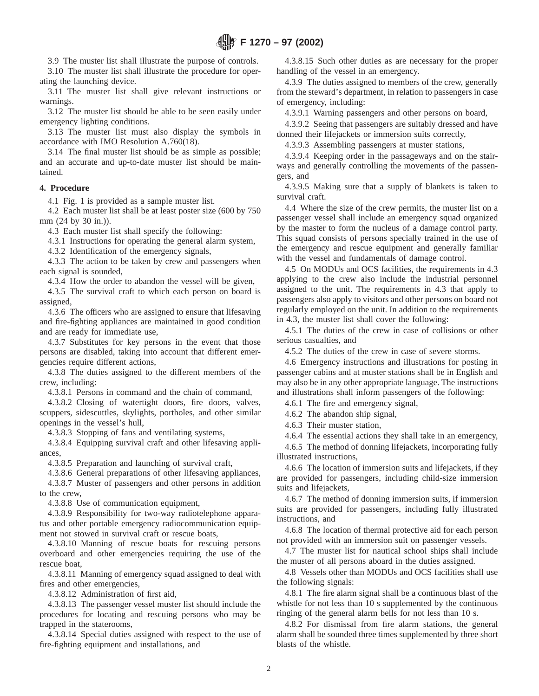3.9 The muster list shall illustrate the purpose of controls.

3.10 The muster list shall illustrate the procedure for operating the launching device.

3.11 The muster list shall give relevant instructions or warnings.

3.12 The muster list should be able to be seen easily under emergency lighting conditions.

3.13 The muster list must also display the symbols in accordance with IMO Resolution A.760(18).

3.14 The final muster list should be as simple as possible; and an accurate and up-to-date muster list should be maintained.

### **4. Procedure**

4.1 Fig. 1 is provided as a sample muster list.

4.2 Each muster list shall be at least poster size (600 by 750 mm (24 by 30 in.)).

4.3 Each muster list shall specify the following:

4.3.1 Instructions for operating the general alarm system,

4.3.2 Identification of the emergency signals,

4.3.3 The action to be taken by crew and passengers when each signal is sounded,

4.3.4 How the order to abandon the vessel will be given,

4.3.5 The survival craft to which each person on board is assigned,

4.3.6 The officers who are assigned to ensure that lifesaving and fire-fighting appliances are maintained in good condition and are ready for immediate use,

4.3.7 Substitutes for key persons in the event that those persons are disabled, taking into account that different emergencies require different actions,

4.3.8 The duties assigned to the different members of the crew, including:

4.3.8.1 Persons in command and the chain of command,

4.3.8.2 Closing of watertight doors, fire doors, valves, scuppers, sidescuttles, skylights, portholes, and other similar openings in the vessel's hull,

4.3.8.3 Stopping of fans and ventilating systems,

4.3.8.4 Equipping survival craft and other lifesaving appliances,

4.3.8.5 Preparation and launching of survival craft,

4.3.8.6 General preparations of other lifesaving appliances, 4.3.8.7 Muster of passengers and other persons in addition to the crew,

4.3.8.8 Use of communication equipment,

4.3.8.9 Responsibility for two-way radiotelephone apparatus and other portable emergency radiocommunication equipment not stowed in survival craft or rescue boats,

4.3.8.10 Manning of rescue boats for rescuing persons overboard and other emergencies requiring the use of the rescue boat,

4.3.8.11 Manning of emergency squad assigned to deal with fires and other emergencies,

4.3.8.12 Administration of first aid,

4.3.8.13 The passenger vessel muster list should include the procedures for locating and rescuing persons who may be trapped in the staterooms,

4.3.8.14 Special duties assigned with respect to the use of fire-fighting equipment and installations, and

4.3.8.15 Such other duties as are necessary for the proper handling of the vessel in an emergency.

4.3.9 The duties assigned to members of the crew, generally from the steward's department, in relation to passengers in case of emergency, including:

4.3.9.1 Warning passengers and other persons on board,

4.3.9.2 Seeing that passengers are suitably dressed and have donned their lifejackets or immersion suits correctly,

4.3.9.3 Assembling passengers at muster stations,

4.3.9.4 Keeping order in the passageways and on the stairways and generally controlling the movements of the passengers, and

4.3.9.5 Making sure that a supply of blankets is taken to survival craft.

4.4 Where the size of the crew permits, the muster list on a passenger vessel shall include an emergency squad organized by the master to form the nucleus of a damage control party. This squad consists of persons specially trained in the use of the emergency and rescue equipment and generally familiar with the vessel and fundamentals of damage control.

4.5 On MODUs and OCS facilities, the requirements in 4.3 applying to the crew also include the industrial personnel assigned to the unit. The requirements in 4.3 that apply to passengers also apply to visitors and other persons on board not regularly employed on the unit. In addition to the requirements in 4.3, the muster list shall cover the following:

4.5.1 The duties of the crew in case of collisions or other serious casualties, and

4.5.2 The duties of the crew in case of severe storms.

4.6 Emergency instructions and illustrations for posting in passenger cabins and at muster stations shall be in English and may also be in any other appropriate language. The instructions and illustrations shall inform passengers of the following:

4.6.1 The fire and emergency signal,

4.6.2 The abandon ship signal,

4.6.3 Their muster station,

4.6.4 The essential actions they shall take in an emergency,

4.6.5 The method of donning lifejackets, incorporating fully illustrated instructions,

4.6.6 The location of immersion suits and lifejackets, if they are provided for passengers, including child-size immersion suits and lifejackets,

4.6.7 The method of donning immersion suits, if immersion suits are provided for passengers, including fully illustrated instructions, and

4.6.8 The location of thermal protective aid for each person not provided with an immersion suit on passenger vessels.

4.7 The muster list for nautical school ships shall include the muster of all persons aboard in the duties assigned.

4.8 Vessels other than MODUs and OCS facilities shall use the following signals:

4.8.1 The fire alarm signal shall be a continuous blast of the whistle for not less than 10 s supplemented by the continuous ringing of the general alarm bells for not less than 10 s.

4.8.2 For dismissal from fire alarm stations, the general alarm shall be sounded three times supplemented by three short blasts of the whistle.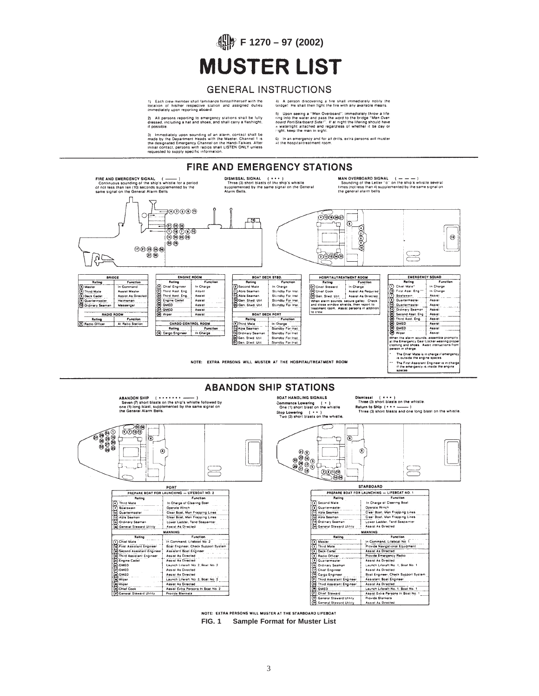# **F 1270 – 97 (2002) MUSTER LIST**

# **GENERAL INSTRUCTIONS**

1) Each crew member shall familiarize himself/herself with the<br>location: of his/her respective: station: and lassigned: duties<br>immediately upon reporting aboard.

2) All persons reporting to emergency stations shall be fully<br>dressed, including a hat and shoes, and shall carry a flashiight,<br>if possible.

3) Immediately upon sounding of an alarm, contact shall be<br>made by the Department Heads with the Master, Channel 11 is<br>the designated Emergency Channel on the Handi-Talkies, After<br>initial contact, persons with radios shall

4) A person discovering a fire shall immediately notify the<br>bridge! He shall then fight the fire with any available means.

5) Upon seeing a "Man Overboard", immediately throw a life-<br>ring into the water and pass the word to the bridge "Man Over-<br>hoard Port/Slarboard Side!". If at night the lifering should have<br>a waterlight attached and regardl

6) In an emergency and for all drills, extra persons will muster<br>at the hospital/treatment room.





NOTE: EXTRA PERSONS WILL MUSTER AT THE STARBOARD LIFEBOAT **FIG. 1 Sample Format for Muster List**